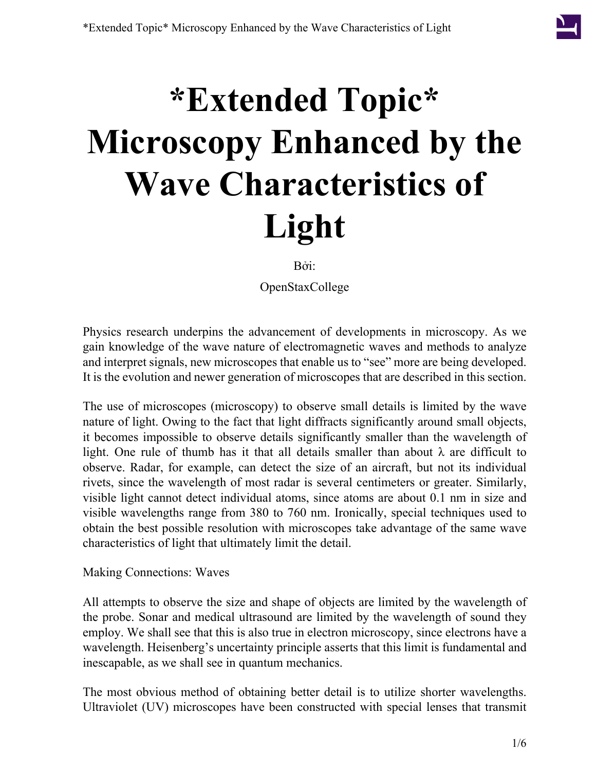## **\*Extended Topic\* Microscopy Enhanced by the Wave Characteristics of Light**

Bởi:

OpenStaxCollege

Physics research underpins the advancement of developments in microscopy. As we gain knowledge of the wave nature of electromagnetic waves and methods to analyze and interpret signals, new microscopes that enable us to "see" more are being developed. It is the evolution and newer generation of microscopes that are described in this section.

The use of microscopes (microscopy) to observe small details is limited by the wave nature of light. Owing to the fact that light diffracts significantly around small objects, it becomes impossible to observe details significantly smaller than the wavelength of light. One rule of thumb has it that all details smaller than about  $\lambda$  are difficult to observe. Radar, for example, can detect the size of an aircraft, but not its individual rivets, since the wavelength of most radar is several centimeters or greater. Similarly, visible light cannot detect individual atoms, since atoms are about 0.1 nm in size and visible wavelengths range from 380 to 760 nm. Ironically, special techniques used to obtain the best possible resolution with microscopes take advantage of the same wave characteristics of light that ultimately limit the detail.

Making Connections: Waves

All attempts to observe the size and shape of objects are limited by the wavelength of the probe. Sonar and medical ultrasound are limited by the wavelength of sound they employ. We shall see that this is also true in electron microscopy, since electrons have a wavelength. Heisenberg's uncertainty principle asserts that this limit is fundamental and inescapable, as we shall see in quantum mechanics.

The most obvious method of obtaining better detail is to utilize shorter wavelengths. Ultraviolet (UV) microscopes have been constructed with special lenses that transmit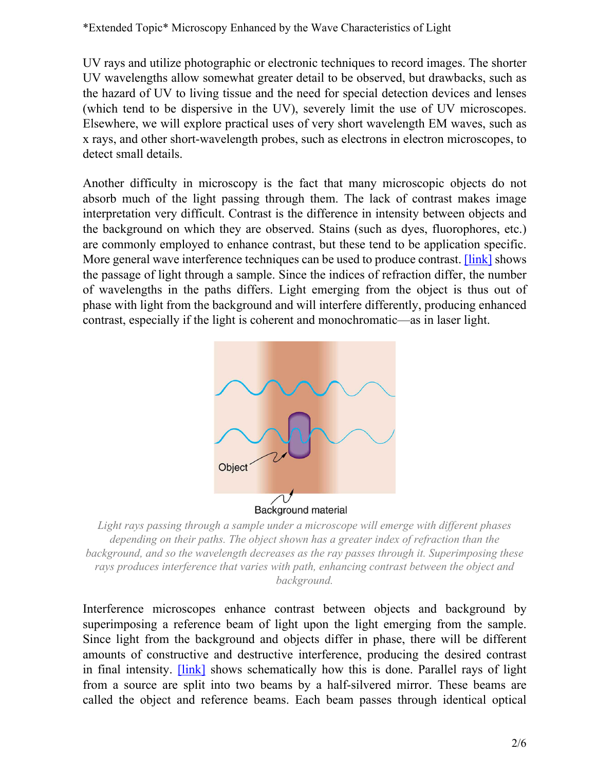\*Extended Topic\* Microscopy Enhanced by the Wave Characteristics of Light

UV rays and utilize photographic or electronic techniques to record images. The shorter UV wavelengths allow somewhat greater detail to be observed, but drawbacks, such as the hazard of UV to living tissue and the need for special detection devices and lenses (which tend to be dispersive in the UV), severely limit the use of UV microscopes. Elsewhere, we will explore practical uses of very short wavelength EM waves, such as x rays, and other short-wavelength probes, such as electrons in electron microscopes, to detect small details.

<span id="page-1-0"></span>Another difficulty in microscopy is the fact that many microscopic objects do not absorb much of the light passing through them. The lack of contrast makes image interpretation very difficult. Contrast is the difference in intensity between objects and the background on which they are observed. Stains (such as dyes, fluorophores, etc.) are commonly employed to enhance contrast, but these tend to be application specific. More general wave interference techniques can be used to produce contrast. [\[link\]](#page-1-0) shows the passage of light through a sample. Since the indices of refraction differ, the number of wavelengths in the paths differs. Light emerging from the object is thus out of phase with light from the background and will interfere differently, producing enhanced contrast, especially if the light is coherent and monochromatic—as in laser light.



*Light rays passing through a sample under a microscope will emerge with different phases depending on their paths. The object shown has a greater index of refraction than the background, and so the wavelength decreases as the ray passes through it. Superimposing these rays produces interference that varies with path, enhancing contrast between the object and background.*

Interference microscopes enhance contrast between objects and background by superimposing a reference beam of light upon the light emerging from the sample. Since light from the background and objects differ in phase, there will be different amounts of constructive and destructive interference, producing the desired contrast in final intensity. [\[link\]](#page-2-0) shows schematically how this is done. Parallel rays of light from a source are split into two beams by a half-silvered mirror. These beams are called the object and reference beams. Each beam passes through identical optical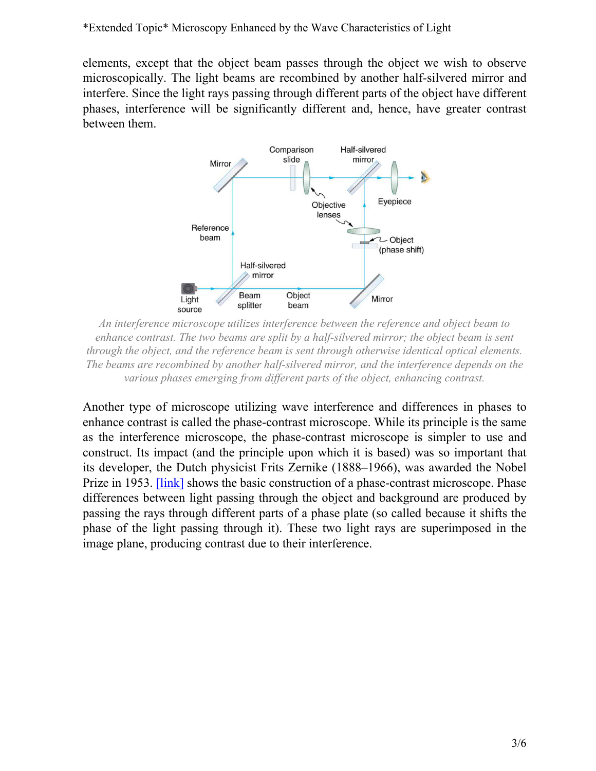<span id="page-2-0"></span>elements, except that the object beam passes through the object we wish to observe microscopically. The light beams are recombined by another half-silvered mirror and interfere. Since the light rays passing through different parts of the object have different phases, interference will be significantly different and, hence, have greater contrast between them.



*An interference microscope utilizes interference between the reference and object beam to enhance contrast. The two beams are split by a half-silvered mirror; the object beam is sent through the object, and the reference beam is sent through otherwise identical optical elements. The beams are recombined by another half-silvered mirror, and the interference depends on the various phases emerging from different parts of the object, enhancing contrast.*

Another type of microscope utilizing wave interference and differences in phases to enhance contrast is called the phase-contrast microscope. While its principle is the same as the interference microscope, the phase-contrast microscope is simpler to use and construct. Its impact (and the principle upon which it is based) was so important that its developer, the Dutch physicist Frits Zernike (1888–1966), was awarded the Nobel Prize in 1953. *[\[link\]](#page-3-0)* shows the basic construction of a phase-contrast microscope. Phase differences between light passing through the object and background are produced by passing the rays through different parts of a phase plate (so called because it shifts the phase of the light passing through it). These two light rays are superimposed in the image plane, producing contrast due to their interference.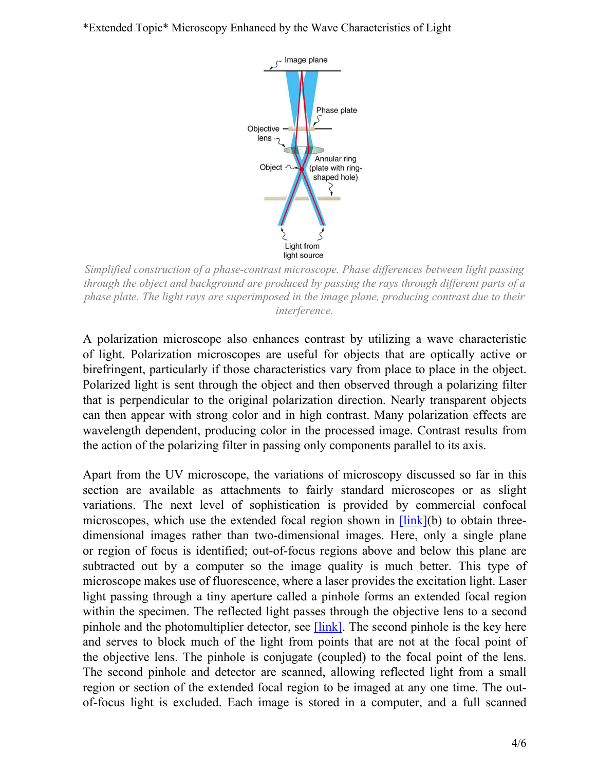## <span id="page-3-0"></span>\*Extended Topic\* Microscopy Enhanced by the Wave Characteristics of Light



*Simplified construction of a phase-contrast microscope. Phase differences between light passing through the object and background are produced by passing the rays through different parts of a phase plate. The light rays are superimposed in the image plane, producing contrast due to their interference.*

A polarization microscope also enhances contrast by utilizing a wave characteristic of light. Polarization microscopes are useful for objects that are optically active or birefringent, particularly if those characteristics vary from place to place in the object. Polarized light is sent through the object and then observed through a polarizing filter that is perpendicular to the original polarization direction. Nearly transparent objects can then appear with strong color and in high contrast. Many polarization effects are wavelength dependent, producing color in the processed image. Contrast results from the action of the polarizing filter in passing only components parallel to its axis.

Apart from the UV microscope, the variations of microscopy discussed so far in this section are available as attachments to fairly standard microscopes or as slight variations. The next level of sophistication is provided by commercial confocal microscopes, which use the extended focal region shown in **Hink**(b) to obtain threedimensional images rather than two-dimensional images. Here, only a single plane or region of focus is identified; out-of-focus regions above and below this plane are subtracted out by a computer so the image quality is much better. This type of microscope makes use of fluorescence, where a laser provides the excitation light. Laser light passing through a tiny aperture called a pinhole forms an extended focal region within the specimen. The reflected light passes through the objective lens to a second pinhole and the photomultiplier detector, see  $[\text{link}]$ . The second pinhole is the key here and serves to block much of the light from points that are not at the focal point of the objective lens. The pinhole is conjugate (coupled) to the focal point of the lens. The second pinhole and detector are scanned, allowing reflected light from a small region or section of the extended focal region to be imaged at any one time. The outof-focus light is excluded. Each image is stored in a computer, and a full scanned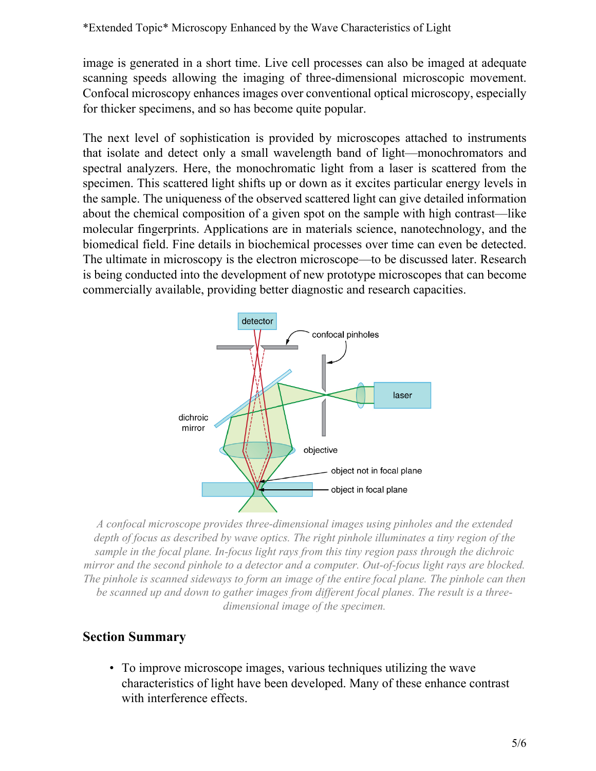image is generated in a short time. Live cell processes can also be imaged at adequate scanning speeds allowing the imaging of three-dimensional microscopic movement. Confocal microscopy enhances images over conventional optical microscopy, especially for thicker specimens, and so has become quite popular.

The next level of sophistication is provided by microscopes attached to instruments that isolate and detect only a small wavelength band of light—monochromators and spectral analyzers. Here, the monochromatic light from a laser is scattered from the specimen. This scattered light shifts up or down as it excites particular energy levels in the sample. The uniqueness of the observed scattered light can give detailed information about the chemical composition of a given spot on the sample with high contrast—like molecular fingerprints. Applications are in materials science, nanotechnology, and the biomedical field. Fine details in biochemical processes over time can even be detected. The ultimate in microscopy is the electron microscope—to be discussed later. Research is being conducted into the development of new prototype microscopes that can become commercially available, providing better diagnostic and research capacities.

<span id="page-4-0"></span>

*A confocal microscope provides three-dimensional images using pinholes and the extended depth of focus as described by wave optics. The right pinhole illuminates a tiny region of the sample in the focal plane. In-focus light rays from this tiny region pass through the dichroic mirror and the second pinhole to a detector and a computer. Out-of-focus light rays are blocked. The pinhole is scanned sideways to form an image of the entire focal plane. The pinhole can then be scanned up and down to gather images from different focal planes. The result is a threedimensional image of the specimen.*

## **Section Summary**

• To improve microscope images, various techniques utilizing the wave characteristics of light have been developed. Many of these enhance contrast with interference effects.